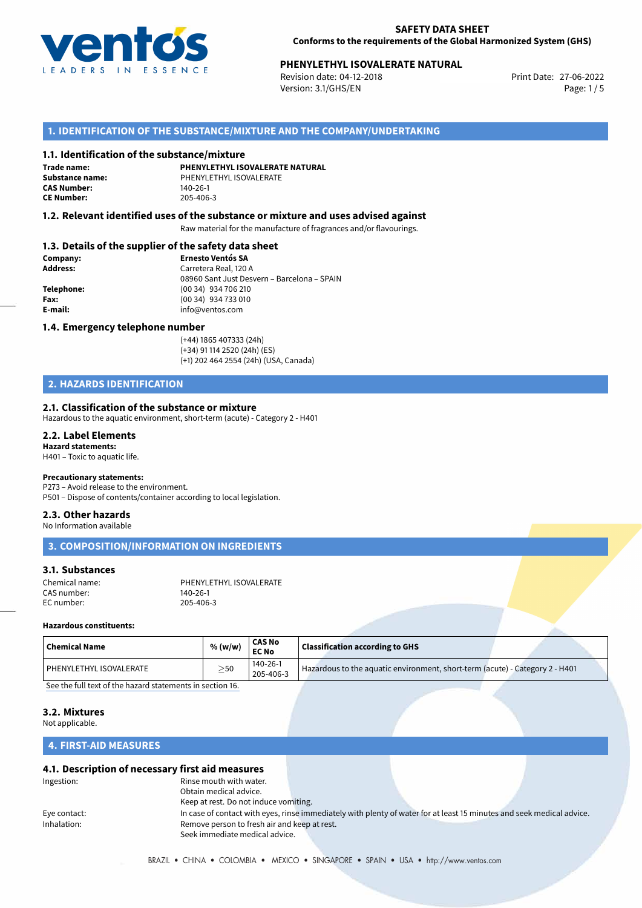

# **PHENYLETHYL ISOVALERATE NATURAL**<br>
Revision date: 04-12-2018<br>
Print Date: 27-06-2022

Revision date: 04-12-2018 Version: 3.1/GHS/EN Page: 1 / 5

### **1. IDENTIFICATION OF THE SUBSTANCE/MIXTURE AND THE COMPANY/UNDERTAKING**

### **1.1. Identification of the substance/mixture**

**Trade name: CAS Number: CE Number:** 205-406-3

**PHENYLETHYL ISOVALERATE NATURAL Substance name:** PHENYLETHYL ISOVALERATE

### **1.2. Relevant identified uses of the substance or mixture and uses advised against**

Raw material for the manufacture of fragrances and/or flavourings.

### **1.3. Details of the supplier of the safety data sheet**

| Company:        | <b>Ernesto Ventós SA</b>                    |
|-----------------|---------------------------------------------|
| <b>Address:</b> | Carretera Real, 120 A                       |
|                 | 08960 Sant Just Desvern - Barcelona - SPAIN |
| Telephone:      | (00 34) 934 706 210                         |
| Fax:            | (00 34) 934 733 010                         |
| E-mail:         | info@ventos.com                             |
|                 |                                             |

### **1.4. Emergency telephone number**

(+44) 1865 407333 (24h) (+34) 91 114 2520 (24h) (ES) (+1) 202 464 2554 (24h) (USA, Canada)

# **2. HAZARDS IDENTIFICATION**

### **2.1. Classification of the substance or mixture**

Hazardous to the aquatic environment, short-term (acute) - Category 2 - H401

#### **2.2. Label Elements Hazard statements:**

H401 – Toxic to aquatic life.

### **Precautionary statements:**

P273 – Avoid release to the environment. P501 – Dispose of contents/container according to local legislation.

# **2.3. Other hazards**

No Information available

**3. COMPOSITION/INFORMATION ON INGREDIENTS**

### **3.1. Substances**

| Chemical name: | PHENYLETHYL ISOVALERATE |
|----------------|-------------------------|
| CAS number:    | 140-26-1                |
| EC number:     | 205-406-3               |

### **Hazardous constituents:**

| <b>Chemical Name</b>    | % (w/w)       | CAS No<br><b>EC No</b> | <b>Classification according to GHS</b>                                       |  |
|-------------------------|---------------|------------------------|------------------------------------------------------------------------------|--|
| PHENYLETHYL ISOVALERATE | $\geq$ 50     | 140-26-1<br>205-406-3  | Hazardous to the aquatic environment, short-term (acute) - Category 2 - H401 |  |
|                         | $\sim$ $\sim$ |                        |                                                                              |  |

[See the full text of the hazard statements in section 16.](#page--1-0)

### **3.2. Mixtures**

Not applicable.

## **4. FIRST-AID MEASURES**

### **4.1. Description of necessary first aid measures**

| Ingestion:   | Rinse mouth with water.                      |  |                                                                                                                       |  |
|--------------|----------------------------------------------|--|-----------------------------------------------------------------------------------------------------------------------|--|
|              | Obtain medical advice.                       |  |                                                                                                                       |  |
|              | Keep at rest. Do not induce vomiting.        |  |                                                                                                                       |  |
| Eye contact: |                                              |  | In case of contact with eyes, rinse immediately with plenty of water for at least 15 minutes and seek medical advice. |  |
| Inhalation:  | Remove person to fresh air and keep at rest. |  |                                                                                                                       |  |
|              | Seek immediate medical advice.               |  |                                                                                                                       |  |
|              |                                              |  |                                                                                                                       |  |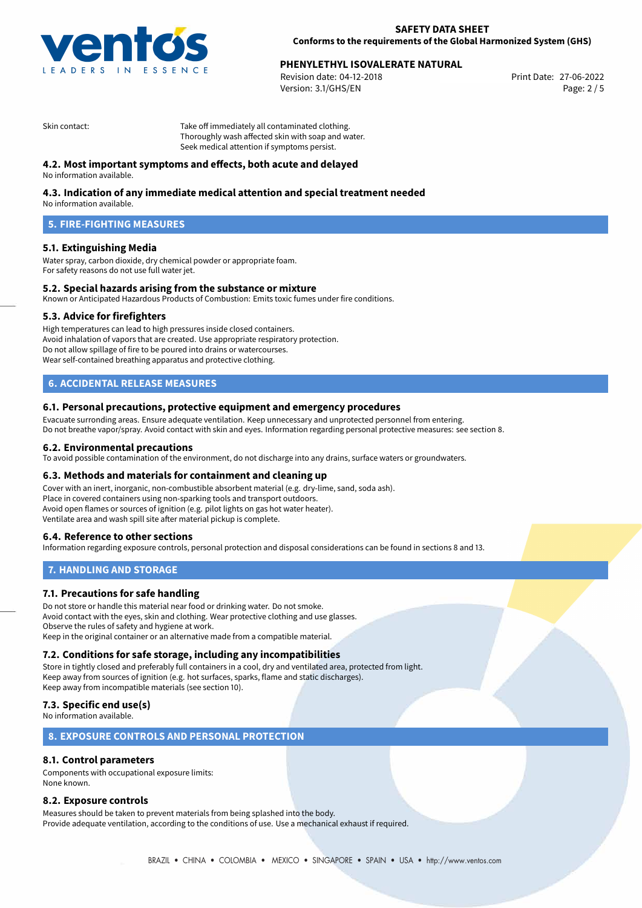

# **PHENYLETHYL ISOVALERATE NATURAL**<br>
Revision date: 04-12-2018<br> **Print Date: 27-06-2022**

Revision date: 04-12-2018 Version: 3.1/GHS/EN Page: 2 / 5

Skin contact: Take off immediately all contaminated clothing. Thoroughly wash affected skin with soap and water. Seek medical attention if symptoms persist.

### **4.2. Most important symptoms and effects, both acute and delayed**

No information available.

### **4.3. Indication of any immediate medical attention and special treatment needed**

No information available.

## **5. FIRE-FIGHTING MEASURES**

### **5.1. Extinguishing Media**

Water spray, carbon dioxide, dry chemical powder or appropriate foam. For safety reasons do not use full water jet.

### **5.2. Special hazards arising from the substance or mixture**

Known or Anticipated Hazardous Products of Combustion: Emits toxic fumes under fire conditions.

### **5.3. Advice for firefighters**

High temperatures can lead to high pressures inside closed containers. Avoid inhalation of vapors that are created. Use appropriate respiratory protection. Do not allow spillage of fire to be poured into drains or watercourses. Wear self-contained breathing apparatus and protective clothing.

# **6. ACCIDENTAL RELEASE MEASURES**

### **6.1. Personal precautions, protective equipment and emergency procedures**

Evacuate surronding areas. Ensure adequate ventilation. Keep unnecessary and unprotected personnel from entering. Do not breathe vapor/spray. Avoid contact with skin and eyes. Information regarding personal protective measures: see section 8.

### **6.2. Environmental precautions**

To avoid possible contamination of the environment, do not discharge into any drains, surface waters or groundwaters.

### **6.3. Methods and materials for containment and cleaning up**

Cover with an inert, inorganic, non-combustible absorbent material (e.g. dry-lime, sand, soda ash). Place in covered containers using non-sparking tools and transport outdoors. Avoid open flames or sources of ignition (e.g. pilot lights on gas hot water heater). Ventilate area and wash spill site after material pickup is complete.

### **6.4. Reference to other sections**

Information regarding exposure controls, personal protection and disposal considerations can be found in sections 8 and 13.

### **7. HANDLING AND STORAGE**

### **7.1. Precautions for safe handling**

Do not store or handle this material near food or drinking water. Do not smoke. Avoid contact with the eyes, skin and clothing. Wear protective clothing and use glasses. Observe the rules of safety and hygiene at work. Keep in the original container or an alternative made from a compatible material.

### **7.2. Conditions for safe storage, including any incompatibilities**

Store in tightly closed and preferably full containers in a cool, dry and ventilated area, protected from light. Keep away from sources of ignition (e.g. hot surfaces, sparks, flame and static discharges). Keep away from incompatible materials (see section 10).

### **7.3. Specific end use(s)**

No information available.

### **8. EXPOSURE CONTROLS AND PERSONAL PROTECTION**

### **8.1. Control parameters**

Components with occupational exposure limits: None known.

### **8.2. Exposure controls**

Measures should be taken to prevent materials from being splashed into the body. Provide adequate ventilation, according to the conditions of use. Use a mechanical exhaust if required.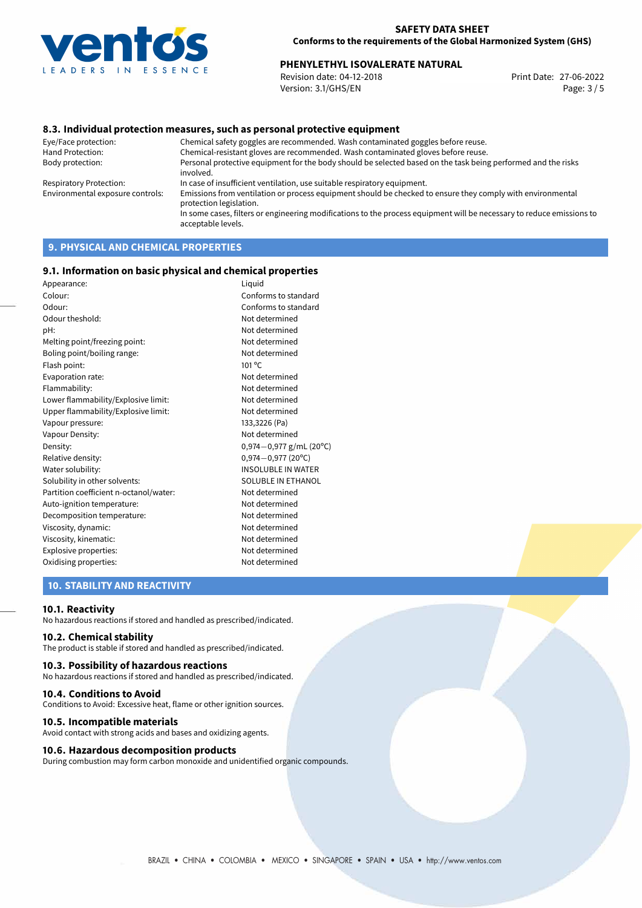

# **PHENYLETHYL ISOVALERATE NATURAL**<br>
Revision date: 04-12-2018<br>
Print Date: 27-06-2022

Revision date: 04-12-2018 Version: 3.1/GHS/EN Page: 3 / 5

### **8.3. Individual protection measures, such as personal protective equipment**

Eye/Face protection: Chemical safety goggles are recommended. Wash contaminated goggles before reuse. Chemical-resistant gloves are recommended. Wash contaminated gloves before reuse. Body protection: Personal protective equipment for the body should be selected based on the task being performed and the risks involved. Respiratory Protection: In case of insufficient ventilation, use suitable respiratory equipment. Environmental exposure controls: Emissions from ventilation or process equipment should be checked to ensure they comply with environmental protection legislation. In some cases, filters or engineering modifications to the process equipment will be necessary to reduce emissions to acceptable levels.

# **9. PHYSICAL AND CHEMICAL PROPERTIES**

### **9.1. Information on basic physical and chemical properties**

| Appearance:                            | Liquid                    |
|----------------------------------------|---------------------------|
| Colour:                                | Conforms to standard      |
| Odour:                                 | Conforms to standard      |
| Odour theshold:                        | Not determined            |
| pH:                                    | Not determined            |
| Melting point/freezing point:          | Not determined            |
| Boling point/boiling range:            | Not determined            |
| Flash point:                           | $101^{\circ}$ C           |
| Evaporation rate:                      | Not determined            |
| Flammability:                          | Not determined            |
| Lower flammability/Explosive limit:    | Not determined            |
| Upper flammability/Explosive limit:    | Not determined            |
| Vapour pressure:                       | 133,3226 (Pa)             |
| Vapour Density:                        | Not determined            |
| Density:                               | $0,974-0,977$ g/mL (20°C) |
| Relative density:                      | $0,974 - 0,977$ (20°C)    |
| Water solubility:                      | <b>INSOLUBLE IN WATER</b> |
| Solubility in other solvents:          | SOLUBLE IN ETHANOL        |
| Partition coefficient n-octanol/water: | Not determined            |
| Auto-ignition temperature:             | Not determined            |
| Decomposition temperature:             | Not determined            |
| Viscosity, dynamic:                    | Not determined            |
| Viscosity, kinematic:                  | Not determined            |
| Explosive properties:                  | Not determined            |
| Oxidising properties:                  | Not determined            |
|                                        |                           |

### **10. STABILITY AND REACTIVITY**

### **10.1. Reactivity**

No hazardous reactions if stored and handled as prescribed/indicated.

### **10.2. Chemical stability**

The product is stable if stored and handled as prescribed/indicated.

### **10.3. Possibility of hazardous reactions**

No hazardous reactions if stored and handled as prescribed/indicated.

### **10.4. Conditions to Avoid**

Conditions to Avoid: Excessive heat, flame or other ignition sources.

### **10.5. Incompatible materials**

Avoid contact with strong acids and bases and oxidizing agents.

### **10.6. Hazardous decomposition products**

During combustion may form carbon monoxide and unidentified organic compounds.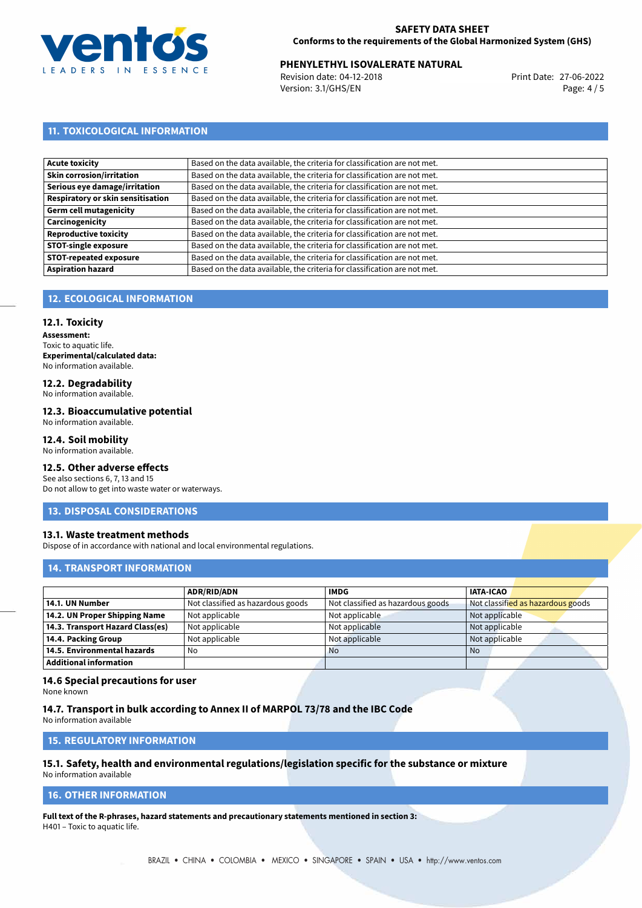

# **PHENYLETHYL ISOVALERATE NATURAL**<br>
Revision date: 04-12-2018<br>
Print Date: 27-06-2022

Revision date: 04-12-2018 Version: 3.1/GHS/EN Page: 4 / 5

# **11. TOXICOLOGICAL INFORMATION**

| Based on the data available, the criteria for classification are not met. |
|---------------------------------------------------------------------------|
| Based on the data available, the criteria for classification are not met. |
| Based on the data available, the criteria for classification are not met. |
| Based on the data available, the criteria for classification are not met. |
| Based on the data available, the criteria for classification are not met. |
| Based on the data available, the criteria for classification are not met. |
| Based on the data available, the criteria for classification are not met. |
| Based on the data available, the criteria for classification are not met. |
| Based on the data available, the criteria for classification are not met. |
| Based on the data available, the criteria for classification are not met. |
|                                                                           |

# **12. ECOLOGICAL INFORMATION**

### **12.1. Toxicity**

**Assessment:** Toxic to aquatic life. **Experimental/calculated data:** No information available.

# **12.2. Degradability**

No information available.

### **12.3. Bioaccumulative potential**

No information available.

### **12.4. Soil mobility**

No information available.

## **12.5. Other adverse effects**

See also sections 6, 7, 13 and 15 Do not allow to get into waste water or waterways.

### **13. DISPOSAL CONSIDERATIONS**

### **13.1. Waste treatment methods**

Dispose of in accordance with national and local environmental regulations.

### **14. TRANSPORT INFORMATION**

|                                  | <b>ADR/RID/ADN</b>                | <b>IMDG</b>                       | <b>IATA-ICAO</b>                  |
|----------------------------------|-----------------------------------|-----------------------------------|-----------------------------------|
| 14.1. UN Number                  | Not classified as hazardous goods | Not classified as hazardous goods | Not classified as hazardous goods |
| 14.2. UN Proper Shipping Name    | Not applicable                    | Not applicable                    | Not applicable                    |
| 14.3. Transport Hazard Class(es) | Not applicable                    | Not applicable                    | Not applicable                    |
| 14.4. Packing Group              | Not applicable                    | Not applicable                    | Not applicable                    |
| 14.5. Environmental hazards      | No                                | <b>No</b>                         | No                                |
| <b>Additional information</b>    |                                   |                                   |                                   |

### **14.6 Special precautions for user**

None known

### **14.7. Transport in bulk according to Annex II of MARPOL 73/78 and the IBC Code**

No information available

# **15. REGULATORY INFORMATION**

# **15.1. Safety, health and environmental regulations/legislation specific for the substance or mixture**

No information available

# **16. OTHER INFORMATION**

**Full text of the R-phrases, hazard statements and precautionary statements mentioned in section 3:** H401 – Toxic to aquatic life.